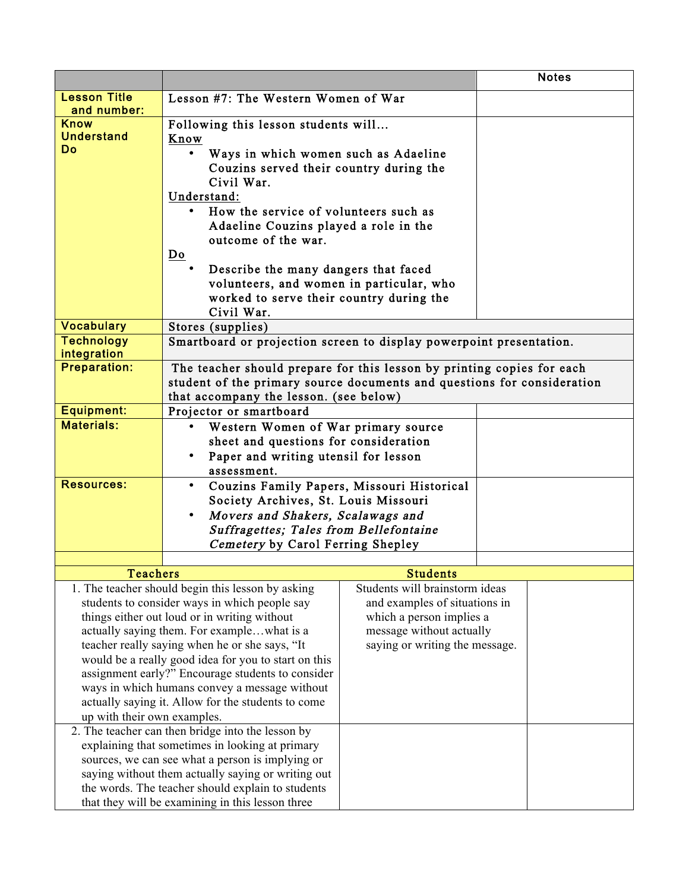|                                                                                   |                                                                                            |                                |  | <b>Notes</b> |  |
|-----------------------------------------------------------------------------------|--------------------------------------------------------------------------------------------|--------------------------------|--|--------------|--|
| <b>Lesson Title</b>                                                               | Lesson #7: The Western Women of War                                                        |                                |  |              |  |
| and number:                                                                       |                                                                                            |                                |  |              |  |
| <b>Know</b><br><b>Understand</b>                                                  | Following this lesson students will                                                        |                                |  |              |  |
| Do                                                                                | Know                                                                                       |                                |  |              |  |
|                                                                                   | Ways in which women such as Adaeline                                                       |                                |  |              |  |
|                                                                                   | Couzins served their country during the<br>Civil War.                                      |                                |  |              |  |
|                                                                                   | Understand:                                                                                |                                |  |              |  |
|                                                                                   | How the service of volunteers such as                                                      |                                |  |              |  |
|                                                                                   | Adaeline Couzins played a role in the                                                      |                                |  |              |  |
|                                                                                   | outcome of the war.                                                                        |                                |  |              |  |
|                                                                                   | Do                                                                                         |                                |  |              |  |
|                                                                                   | Describe the many dangers that faced                                                       |                                |  |              |  |
|                                                                                   | volunteers, and women in particular, who                                                   |                                |  |              |  |
|                                                                                   | worked to serve their country during the                                                   |                                |  |              |  |
| <b>Vocabulary</b>                                                                 | Civil War.                                                                                 |                                |  |              |  |
| <b>Technology</b>                                                                 | Stores (supplies)<br>Smartboard or projection screen to display powerpoint presentation.   |                                |  |              |  |
| integration                                                                       |                                                                                            |                                |  |              |  |
| <b>Preparation:</b>                                                               | The teacher should prepare for this lesson by printing copies for each                     |                                |  |              |  |
|                                                                                   | student of the primary source documents and questions for consideration                    |                                |  |              |  |
|                                                                                   | that accompany the lesson. (see below)                                                     |                                |  |              |  |
| <b>Equipment:</b><br><b>Materials:</b>                                            | Projector or smartboard                                                                    |                                |  |              |  |
|                                                                                   | Western Women of War primary source                                                        |                                |  |              |  |
|                                                                                   | sheet and questions for consideration<br>Paper and writing utensil for lesson<br>$\bullet$ |                                |  |              |  |
|                                                                                   | assessment.                                                                                |                                |  |              |  |
| <b>Resources:</b>                                                                 | Couzins Family Papers, Missouri Historical<br>$\bullet$                                    |                                |  |              |  |
|                                                                                   | Society Archives, St. Louis Missouri                                                       |                                |  |              |  |
|                                                                                   | Movers and Shakers, Scalawags and<br>$\bullet$                                             |                                |  |              |  |
|                                                                                   | Suffragettes; Tales from Bellefontaine                                                     |                                |  |              |  |
|                                                                                   | Cemetery by Carol Ferring Shepley                                                          |                                |  |              |  |
| <b>Teachers</b>                                                                   |                                                                                            | <b>Students</b>                |  |              |  |
|                                                                                   | 1. The teacher should begin this lesson by asking                                          | Students will brainstorm ideas |  |              |  |
|                                                                                   | students to consider ways in which people say                                              | and examples of situations in  |  |              |  |
| things either out loud or in writing without                                      |                                                                                            | which a person implies a       |  |              |  |
| actually saying them. For examplewhat is a                                        |                                                                                            | message without actually       |  |              |  |
| teacher really saying when he or she says, "It                                    |                                                                                            | saying or writing the message. |  |              |  |
| would be a really good idea for you to start on this                              |                                                                                            |                                |  |              |  |
| assignment early?" Encourage students to consider                                 |                                                                                            |                                |  |              |  |
| ways in which humans convey a message without                                     |                                                                                            |                                |  |              |  |
| actually saying it. Allow for the students to come<br>up with their own examples. |                                                                                            |                                |  |              |  |
| 2. The teacher can then bridge into the lesson by                                 |                                                                                            |                                |  |              |  |
| explaining that sometimes in looking at primary                                   |                                                                                            |                                |  |              |  |
| sources, we can see what a person is implying or                                  |                                                                                            |                                |  |              |  |
| saying without them actually saying or writing out                                |                                                                                            |                                |  |              |  |
| the words. The teacher should explain to students                                 |                                                                                            |                                |  |              |  |
| that they will be examining in this lesson three                                  |                                                                                            |                                |  |              |  |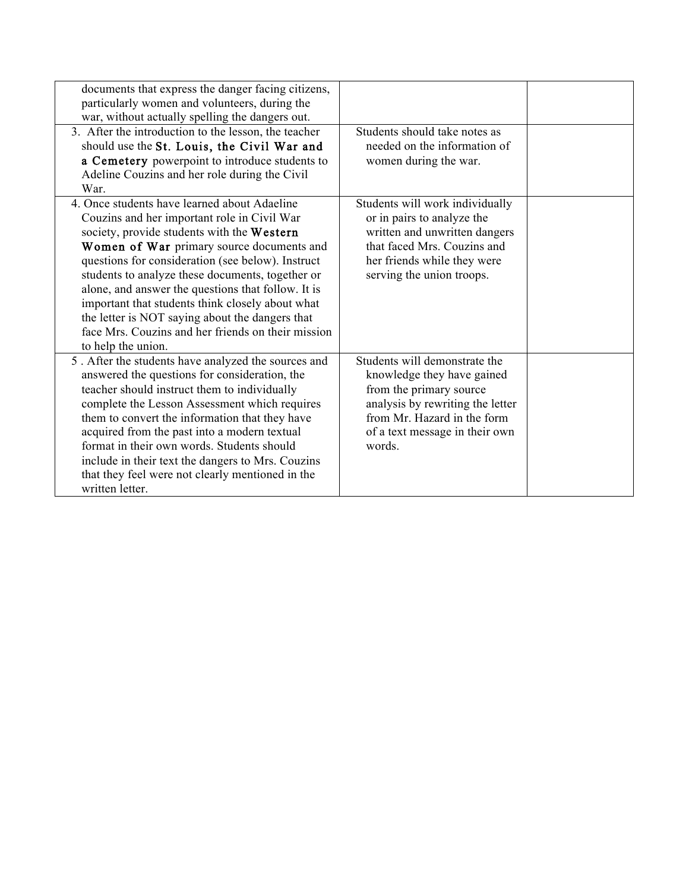| documents that express the danger facing citizens,<br>particularly women and volunteers, during the<br>war, without actually spelling the dangers out.                                                                                                                                                                                                                                                                                                                                                                                   |                                                                                                                                                                                                       |  |
|------------------------------------------------------------------------------------------------------------------------------------------------------------------------------------------------------------------------------------------------------------------------------------------------------------------------------------------------------------------------------------------------------------------------------------------------------------------------------------------------------------------------------------------|-------------------------------------------------------------------------------------------------------------------------------------------------------------------------------------------------------|--|
| 3. After the introduction to the lesson, the teacher<br>should use the St. Louis, the Civil War and<br>a Cemetery powerpoint to introduce students to<br>Adeline Couzins and her role during the Civil<br>War.                                                                                                                                                                                                                                                                                                                           | Students should take notes as<br>needed on the information of<br>women during the war.                                                                                                                |  |
| 4. Once students have learned about Adaeline<br>Couzins and her important role in Civil War<br>society, provide students with the Western<br>Women of War primary source documents and<br>questions for consideration (see below). Instruct<br>students to analyze these documents, together or<br>alone, and answer the questions that follow. It is<br>important that students think closely about what<br>the letter is NOT saying about the dangers that<br>face Mrs. Couzins and her friends on their mission<br>to help the union. | Students will work individually<br>or in pairs to analyze the<br>written and unwritten dangers<br>that faced Mrs. Couzins and<br>her friends while they were<br>serving the union troops.             |  |
| 5. After the students have analyzed the sources and<br>answered the questions for consideration, the<br>teacher should instruct them to individually<br>complete the Lesson Assessment which requires<br>them to convert the information that they have<br>acquired from the past into a modern textual<br>format in their own words. Students should<br>include in their text the dangers to Mrs. Couzins<br>that they feel were not clearly mentioned in the<br>written letter.                                                        | Students will demonstrate the<br>knowledge they have gained<br>from the primary source<br>analysis by rewriting the letter<br>from Mr. Hazard in the form<br>of a text message in their own<br>words. |  |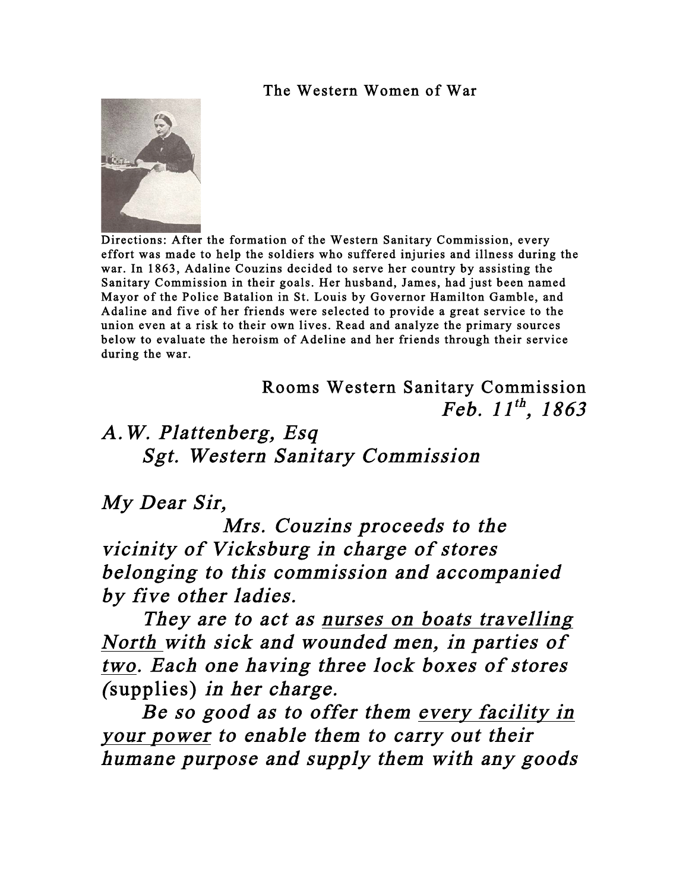## The Western Women of War



 Directions: After the formation of the Western Sanitary Commission, every effort was made to help the soldiers who suffered injuries and illness during the war. In 1863, Adaline Couzins decided to serve her country by assisting the Sanitary Commission in their goals. Her husband, James, had just been named Mayor of the Police Batalion in St. Louis by Governor Hamilton Gamble, and Adaline and five of her friends were selected to provide a great service to the union even at a risk to their own lives. Read and analyze the primary sources below to evaluate the heroism of Adeline and her friends through their service during the war.

> Rooms Western Sanitary Commission Feb.  $11^{th}$ , 1863

## A.W. Plattenberg, Esq Sgt. Western Sanitary Commission

## My Dear Sir,

 Mrs. Couzins proceeds to the vicinity of Vicksburg in charge of stores belonging to this commission and accompanied by five other ladies.

They are to act as nurses on boats travelling North with sick and wounded men, in parties of two. Each one having three lock boxes of stores (supplies) in her charge.

 Be so good as to offer them every facility in your power to enable them to carry out their humane purpose and supply them with any goods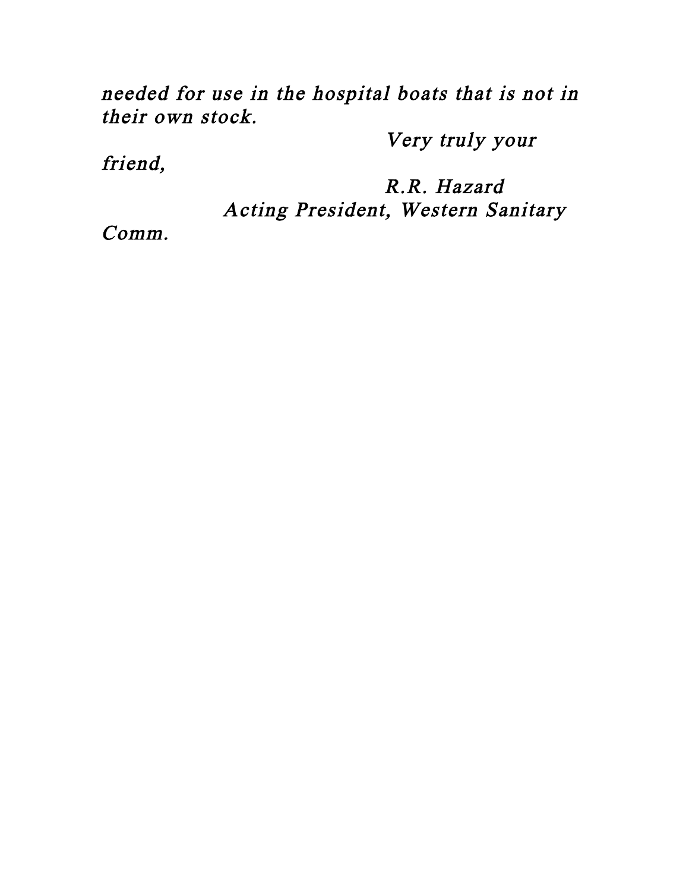needed for use in the hospital boats that is not in their own stock.

Very truly your

friend,

 R.R. Hazard Acting President, Western Sanitary

Comm.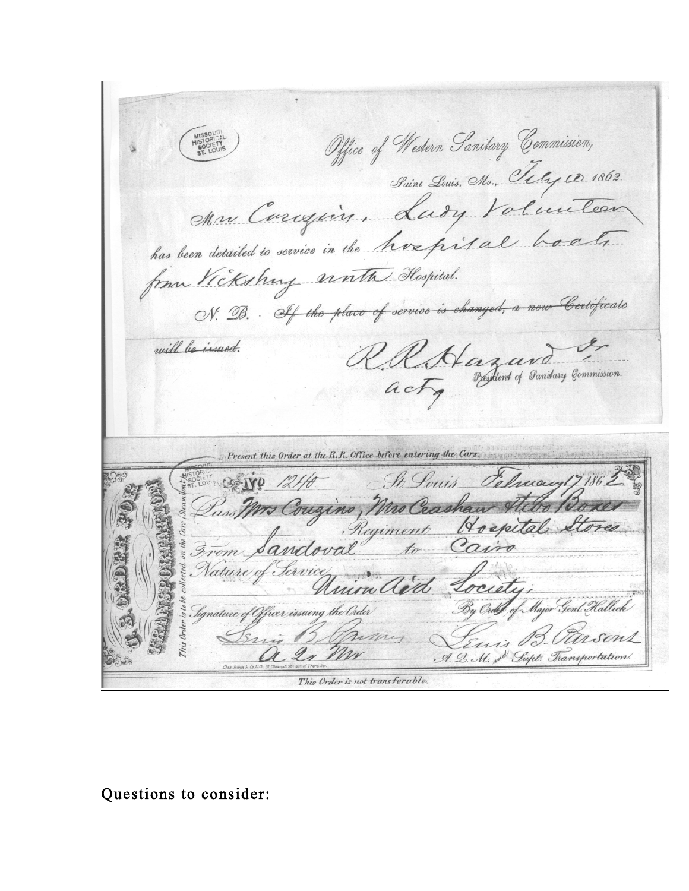Office of Western Sanitary Commission, Suint Louis, Mo., Tely 10. 1862. Mr Curigin, Lady Volunteer has been detailed to service in the hospital boats. from Vickshung water Hospital. N. B. If the place of service is changed, a new Certificate RRAagard will be issued. Present this Order at the R.R. Office before entering the Cars. Selvacy17 186 SAVE 1240 St. Louis Pass Mrs Couzino, Mrs Crashaw A Hospital Cairo Major Genl. Halleck Signature of Officer issuing the Order A. Q. M. on Supt. Transportation This Order is not transferable.

Questions to consider: